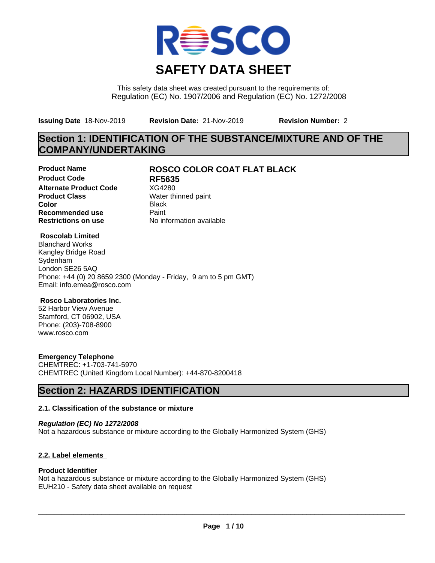

This safety data sheet was created pursuant to the requirements of: Regulation (EC) No. 1907/2006 and Regulation (EC) No. 1272/2008

**Issuing Date** 18-Nov-2019 **Revision Date:** 21-Nov-2019 **Revision Number:** 2

## **Section 1: IDENTIFICATION OF THE SUBSTANCE/MIXTURE AND OF THE COMPANY/UNDERTAKING**

**Product Code RF5635 Alternate Product Code** XG4280<br> **Product Class** Water th **Color** Black **Recommended use** Paint<br> **Restrictions on use** Mo information available **Restrictions on use** 

### **Product Name ROSCO COLOR COAT FLAT BLACK**

**Water thinned paint** 

#### **Roscolab Limited**

Blanchard Works Kangley Bridge Road Sydenham London SE26 5AQ Phone: +44 (0) 20 8659 2300 (Monday - Friday, 9 am to 5 pm GMT) Email: info.emea@rosco.com

#### **Rosco Laboratories Inc.**

52 Harbor View Avenue Stamford, CT 06902, USA Phone: (203)-708-8900 www.rosco.com

#### **Emergency Telephone**

CHEMTREC: +1-703-741-5970 CHEMTREC (United Kingdom Local Number): +44-870-8200418

## **Section 2: HAZARDS IDENTIFICATION**

#### **2.1. Classification of the substance or mixture**

*Regulation (EC) No 1272/2008* Not a hazardous substance or mixture according to the Globally Harmonized System (GHS)

#### **2.2. Label elements**

#### **Product Identifier**

Not a hazardous substance or mixture according to the Globally Harmonized System (GHS) EUH210 - Safety data sheet available on request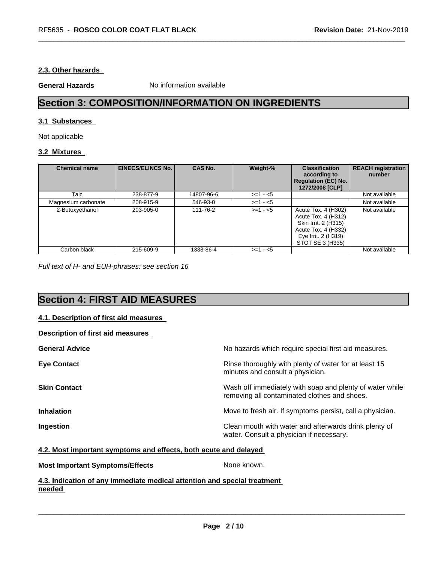#### **2.3. Other hazards**

**General Hazards** No information available

## **Section 3: COMPOSITION/INFORMATION ON INGREDIENTS**

#### **3.1 Substances**

Not applicable

#### **3.2 Mixtures**

| <b>Chemical name</b> | <b>EINECS/ELINCS No.</b> | <b>CAS No.</b> | Weight-%   | <b>Classification</b><br>according to<br><b>Regulation (EC) No.</b><br>1272/2008 [CLP]                                               | <b>REACH registration</b><br>number |
|----------------------|--------------------------|----------------|------------|--------------------------------------------------------------------------------------------------------------------------------------|-------------------------------------|
| Talc                 | 238-877-9                | 14807-96-6     | $>=1 - 5$  |                                                                                                                                      | Not available                       |
| Magnesium carbonate  | 208-915-9                | 546-93-0       | $>=1 - 5$  |                                                                                                                                      | Not available                       |
| 2-Butoxyethanol      | 203-905-0                | 111-76-2       | $>= 1 - 5$ | Acute Tox. 4 (H302)<br>Acute Tox. 4 (H312)<br>Skin Irrit. 2 (H315)<br>Acute Tox. 4 (H332)<br>Eye Irrit. 2 (H319)<br>STOT SE 3 (H335) | Not available                       |
| Carbon black         | 215-609-9                | 1333-86-4      | $>=1 - 5$  |                                                                                                                                      | Not available                       |

*Full text of H- and EUH-phrases: see section 16*

## **Section 4: FIRST AID MEASURES**

#### **4.1. Description of first aid measures**

| Description of first aid measures |                                                                                                          |
|-----------------------------------|----------------------------------------------------------------------------------------------------------|
| <b>General Advice</b>             | No hazards which require special first aid measures.                                                     |
| <b>Eye Contact</b>                | Rinse thoroughly with plenty of water for at least 15<br>minutes and consult a physician.                |
| <b>Skin Contact</b>               | Wash off immediately with soap and plenty of water while<br>removing all contaminated clothes and shoes. |
| <b>Inhalation</b>                 | Move to fresh air. If symptoms persist, call a physician.                                                |
| Ingestion                         | Clean mouth with water and afterwards drink plenty of<br>water. Consult a physician if necessary.        |

#### **4.2. Most important symptoms and effects, both acute and delayed**

| <b>Most Important Symptoms/Effects</b>                                   | None known. |
|--------------------------------------------------------------------------|-------------|
| 4.3. Indication of anv immediate medical attention and special treatment |             |

### **needed**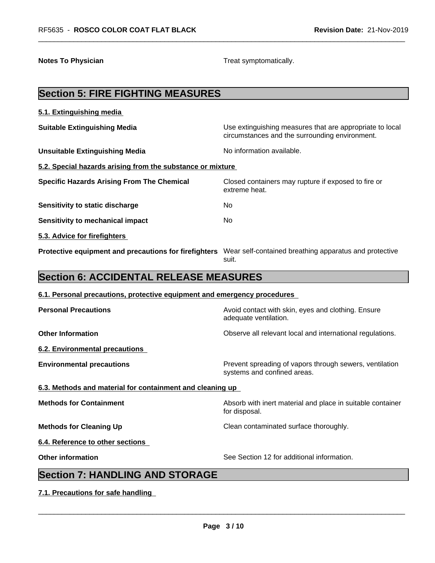**Notes To Physician Treat symptomatically.** 

# **Section 5: FIRE FIGHTING MEASURES 5.1. Extinguishing media Suitable Extinguishing Media** Media Use extinguishing measures that are appropriate to local circumstances and the surrounding environment. **Unsuitable Extinguishing Media** Noinformation available. **5.2. Special hazards arising from the substance or mixture Specific Hazards Arising From The Chemical** Closed containers may rupture ifexposed to fire or extreme heat. **Sensitivity to static discharge** Mo **Sensitivity to mechanical impact** No **5.3. Advice for firefighters Protective equipment and precautions for firefighters** Wear self-contained breathing apparatus and protective suit. **Section 6: ACCIDENTAL RELEASE MEASURES 6.1. Personal precautions, protective equipment and emergency procedures Personal Precautions Avoid contact with skin, eyes and clothing. Ensure** Avoid contact with skin, eyes and clothing. Ensure adequate ventilation. **Other Information Observe all relevant local and international regulations. 6.2. Environmental precautions Environmental precautions Environmental precautions Prevent spreading of vapors through sewers, ventilation** systems and confined areas. **6.3. Methods and material for containment and cleaning up Methods for Containment Absorb with inert material and place in suitable container** for disposal. **Methods for Cleaning Up Clean contaminated surface thoroughly. 6.4. Reference to other sections Other information** See Section 12 for additional information. **Section 7: HANDLING AND STORAGE 7.1. Precautions for safe handling**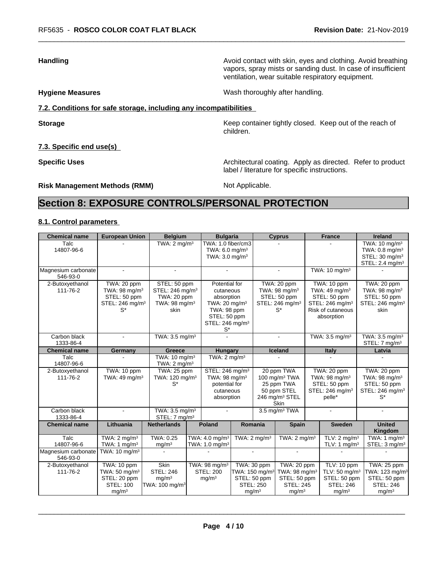**Handling Handling Avoid contact with skin, eyes and clothing. Avoid breathing Handling A** vapors, spray mists or sanding dust. In case of insufficient ventilation, wear suitable respiratory equipment.

**Hygiene Measures** Mash thoroughly after handling.

label / literature for specific instructions.

#### **7.2. Conditions for safe storage, including any incompatibilities**

**Storage Keep container tightly closed.** Keep out of the reach of

**7.3. Specific end use(s)**

**Specific Uses Architectural coating. Apply as directed. Refer to product** 

**Risk Management Methods (RMM)** Not Applicable.

children.

## **Section 8: EXPOSURE CONTROLS/PERSONAL PROTECTION**

#### **8.1. Control parameters**

| <b>Chemical name</b>            | <b>European Union</b>                                                                            | <b>Belgium</b>                                                                                  | <b>Bulgaria</b>                                                                                                                    |                                                                                |                  | <b>Cyprus</b>                                                                                                          | <b>France</b>                                                                                                                     | <b>Ireland</b>                                                                                                      |
|---------------------------------|--------------------------------------------------------------------------------------------------|-------------------------------------------------------------------------------------------------|------------------------------------------------------------------------------------------------------------------------------------|--------------------------------------------------------------------------------|------------------|------------------------------------------------------------------------------------------------------------------------|-----------------------------------------------------------------------------------------------------------------------------------|---------------------------------------------------------------------------------------------------------------------|
| Talc<br>14807-96-6              |                                                                                                  | TWA: $2 \text{ mq/m}^3$                                                                         | TWA: 1.0 fiber/cm3<br>TWA: $6.0 \text{ mg/m}^3$<br>TWA: $3.0 \text{ mg/m}^3$                                                       |                                                                                |                  |                                                                                                                        |                                                                                                                                   | TWA: 10 mg/m <sup>3</sup><br>TWA: $0.8 \text{ mg/m}^3$<br>STEL: 30 mg/m <sup>3</sup><br>STEL: 2.4 mg/m <sup>3</sup> |
| Magnesium carbonate<br>546-93-0 |                                                                                                  | ÷                                                                                               |                                                                                                                                    |                                                                                |                  | $\sim$                                                                                                                 | TWA: $10 \text{ mg/m}^3$                                                                                                          |                                                                                                                     |
| 2-Butoxyethanol<br>111-76-2     | TWA: 20 ppm<br>TWA: $98 \text{ mg/m}^3$<br>STEL: 50 ppm<br>STEL: 246 mg/m <sup>3</sup><br>$S^*$  | STEL: 50 ppm<br>STEL: 246 mg/m <sup>3</sup><br>TWA: 20 ppm<br>TWA: 98 mg/m <sup>3</sup><br>skin | Potential for<br>cutaneous<br>absorption<br>TWA: $20 \text{ mg/m}^3$<br>TWA: 98 ppm<br>STEL: 50 ppm<br>STEL: 246 mg/m <sup>3</sup> |                                                                                |                  | TWA: 20 ppm<br>TWA: $98 \text{ mg/m}^3$<br>STEL: 50 ppm<br>STEL: 246 mg/m <sup>3</sup><br>$S^*$                        | TWA: 10 ppm<br>TWA: 49 mg/m <sup>3</sup><br>STEL: 50 ppm<br>STEL: 246 mg/m <sup>3</sup><br><b>Risk of cutaneous</b><br>absorption | TWA: 20 ppm<br>TWA: 98 mg/m <sup>3</sup><br>STEL: 50 ppm<br>STEL: 246 mg/m <sup>3</sup><br>skin                     |
| Carbon black<br>1333-86-4       | ÷.                                                                                               | TWA: $3.5 \text{ mg/m}^3$                                                                       | $S^*$                                                                                                                              |                                                                                |                  |                                                                                                                        | TWA: $3.5 \text{ mg/m}^3$                                                                                                         | TWA: 3.5 mg/m <sup>3</sup><br>STEL: 7 mg/m <sup>3</sup>                                                             |
| <b>Chemical name</b>            | Germany                                                                                          | Greece                                                                                          | <b>Hungary</b>                                                                                                                     |                                                                                |                  | Iceland                                                                                                                | Italy                                                                                                                             | Latvia                                                                                                              |
| Talc<br>14807-96-6              |                                                                                                  | TWA: $10 \text{ mg/m}^3$<br>TWA: $2 \text{ mq/m}^3$                                             | TWA: $2 \text{ mg/m}^3$                                                                                                            |                                                                                |                  |                                                                                                                        |                                                                                                                                   |                                                                                                                     |
| 2-Butoxyethanol<br>111-76-2     | TWA: 10 ppm<br>TWA: 49 mg/m <sup>3</sup>                                                         | TWA: 25 ppm<br>TWA: 120 mg/m <sup>3</sup><br>$S^*$                                              | STEL: 246 mg/m <sup>3</sup><br>TWA: 98 mg/m <sup>3</sup><br>potential for<br>cutaneous<br>absorption                               |                                                                                |                  | 20 ppm TWA<br>100 mg/m <sup>3</sup> TWA<br>25 ppm TWA<br>50 ppm STEL<br>246 mg/m <sup>3</sup> STEL<br>Skin             | TWA: 20 ppm<br>TWA: 98 mg/m <sup>3</sup><br>STEL: 50 ppm<br>STEL: 246 mg/m <sup>3</sup><br>pelle*                                 | TWA: 20 ppm<br>TWA: 98 mg/m <sup>3</sup><br>STEL: 50 ppm<br>STEL: 246 mg/m <sup>3</sup><br>$S^*$                    |
| Carbon black<br>1333-86-4       | $\sim$                                                                                           | TWA: 3.5 mg/m <sup>3</sup><br>STEL: 7 mg/m <sup>3</sup>                                         |                                                                                                                                    |                                                                                |                  | 3.5 mg/m <sup>3</sup> TWA                                                                                              | $\sim$                                                                                                                            |                                                                                                                     |
| <b>Chemical name</b>            | Lithuania                                                                                        | <b>Netherlands</b>                                                                              | <b>Poland</b>                                                                                                                      | Romania                                                                        |                  | <b>Spain</b>                                                                                                           | <b>Sweden</b>                                                                                                                     | <b>United</b><br>Kingdom                                                                                            |
| Talc<br>14807-96-6              | TWA: $2 \text{ mg/m}^3$<br>TWA: 1 mg/m <sup>3</sup>                                              | TWA: 0.25<br>mg/m <sup>3</sup>                                                                  | TWA: $4.0 \text{ mg/m}^3$<br>TWA: $1.0 \text{ mg/m}^3$                                                                             | TWA: $2 \text{ mg/m}^3$                                                        |                  | TWA: $2 \text{ mg/m}^3$                                                                                                | TLV: $2 \text{ mg/m}^3$<br>TLV: 1 mg/m <sup>3</sup>                                                                               | TWA: $1 \text{ mg/m}^3$<br>STEL: 3 mg/m <sup>3</sup>                                                                |
| Magnesium carbonate<br>546-93-0 | TWA: $10 \text{ mg/m}^3$                                                                         |                                                                                                 |                                                                                                                                    | $\overline{a}$                                                                 |                  | $\blacksquare$                                                                                                         |                                                                                                                                   |                                                                                                                     |
| 2-Butoxyethanol<br>111-76-2     | TWA: 10 ppm<br>TWA: $50 \text{ mg/m}^3$<br>STEL: 20 ppm<br><b>STEL: 100</b><br>mg/m <sup>3</sup> | <b>Skin</b><br><b>STEL: 246</b><br>mg/m <sup>3</sup><br>TWA: 100 mg/m <sup>3</sup>              | TWA: 98 mg/m <sup>3</sup><br><b>STEL: 200</b><br>mg/m <sup>3</sup>                                                                 | TWA: 30 ppm<br>TWA: 150 mg/m <sup>3</sup><br>STEL: 50 ppm<br>mg/m <sup>3</sup> | <b>STEL: 250</b> | $\overline{\text{TW}}$ A: 20 ppm<br>TWA: 98 mg/m <sup>3</sup><br>STEL: 50 ppm<br><b>STEL: 245</b><br>mg/m <sup>3</sup> | TLV: 10 ppm<br>TLV: $50$ mg/m <sup>3</sup><br>STEL: 50 ppm<br><b>STEL: 246</b><br>mg/m <sup>3</sup>                               | TWA: 25 ppm<br>TWA: $123$ mg/m <sup>3</sup><br>STEL: 50 ppm<br><b>STEL: 246</b><br>mg/m <sup>3</sup>                |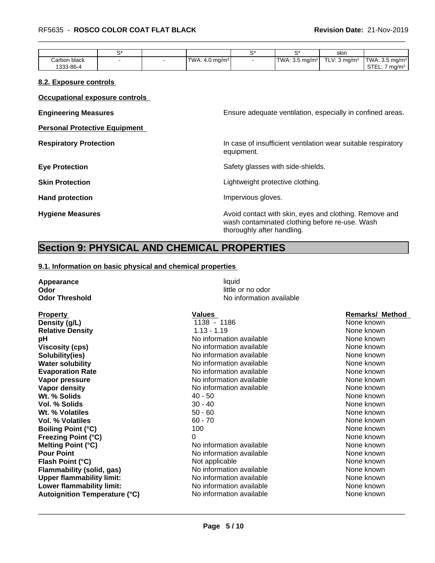|              |  |                               | ⌒∗                        | skin                    |                                     |
|--------------|--|-------------------------------|---------------------------|-------------------------|-------------------------------------|
| Carbon black |  | $ TWA: 4.0$ mg/m <sup>3</sup> | TWA: $3.5 \text{ mg/m}^3$ | TLV: $3 \text{ ma/m}^3$ | $\textsf{TWA: } 3.5 \text{ mg/m}^3$ |
| 1333-86-4    |  |                               |                           |                         | CTT<br>ma/m <sup>3</sup><br>.∟∟∟.   |

#### **8.2. Exposure controls**

**Occupational exposure controls**

| <b>Engineering Measures</b>          | Ensure adequate ventilation, especially in confined areas.                                                                             |
|--------------------------------------|----------------------------------------------------------------------------------------------------------------------------------------|
| <b>Personal Protective Equipment</b> |                                                                                                                                        |
| <b>Respiratory Protection</b>        | In case of insufficient ventilation wear suitable respiratory<br>equipment.                                                            |
| <b>Eye Protection</b>                | Safety glasses with side-shields.                                                                                                      |
| <b>Skin Protection</b>               | Lightweight protective clothing.                                                                                                       |
| <b>Hand protection</b>               | Impervious gloves.                                                                                                                     |
| <b>Hygiene Measures</b>              | Avoid contact with skin, eyes and clothing. Remove and<br>wash contaminated clothing before re-use. Wash<br>thoroughly after handling. |

## **Section 9: PHYSICAL AND CHEMICAL PROPERTIES**

#### **9.1. Information on basic physical and chemical properties**

| Appearance                           | liquid                                        |                        |
|--------------------------------------|-----------------------------------------------|------------------------|
| Odor<br><b>Odor Threshold</b>        | little or no odor<br>No information available |                        |
|                                      |                                               |                        |
| <b>Property</b>                      | <b>Values</b>                                 | <b>Remarks/ Method</b> |
| Density (g/L)                        | 1138 - 1186                                   | None known             |
| <b>Relative Density</b>              | $1.13 - 1.19$                                 | None known             |
| pH                                   | No information available                      | None known             |
| <b>Viscosity (cps)</b>               | No information available                      | None known             |
| Solubility(ies)                      | No information available                      | None known             |
| <b>Water solubility</b>              | No information available                      | None known             |
| <b>Evaporation Rate</b>              | No information available                      | None known             |
| Vapor pressure                       | No information available                      | None known             |
| Vapor density                        | No information available                      | None known             |
| Wt. % Solids                         | $40 - 50$                                     | None known             |
| Vol. % Solids                        | $30 - 40$                                     | None known             |
| Wt. % Volatiles                      | $50 - 60$                                     | None known             |
| <b>Vol. % Volatiles</b>              | $60 - 70$                                     | None known             |
| <b>Boiling Point (°C)</b>            | 100                                           | None known             |
| <b>Freezing Point (°C)</b>           | 0                                             | None known             |
| <b>Melting Point (°C)</b>            | No information available                      | None known             |
| <b>Pour Point</b>                    | No information available                      | None known             |
| Flash Point (°C)                     | Not applicable                                | None known             |
| <b>Flammability (solid, gas)</b>     | No information available                      | None known             |
| <b>Upper flammability limit:</b>     | No information available                      | None known             |
| Lower flammability limit:            | No information available                      | None known             |
| <b>Autoignition Temperature (°C)</b> | No information available                      | None known             |
|                                      |                                               |                        |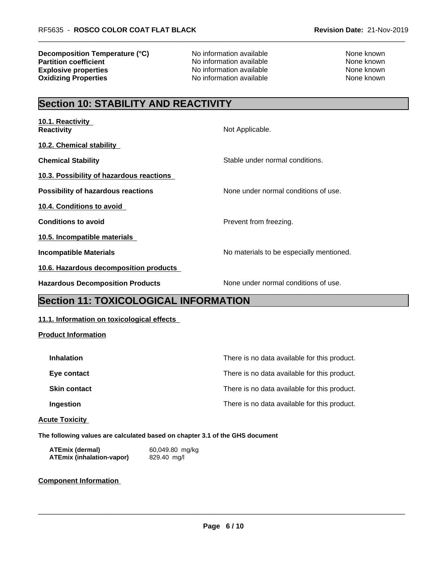**Decomposition Temperature (°C)** No information available None Known None known **Partition coefficient**<br> **Explosive properties**<br>
No information available None Known<br>
None known **Explosive properties**<br> **Oxidizing Properties**<br>
No information available<br>
None known<br>
None known

**No information available** 

## **Section 10: STABILITY AND REACTIVITY**

| 10.1. Reactivity<br><b>Reactivity</b>     | Not Applicable.                          |
|-------------------------------------------|------------------------------------------|
| 10.2. Chemical stability                  |                                          |
| <b>Chemical Stability</b>                 | Stable under normal conditions.          |
| 10.3. Possibility of hazardous reactions  |                                          |
| <b>Possibility of hazardous reactions</b> | None under normal conditions of use.     |
| 10.4. Conditions to avoid                 |                                          |
| <b>Conditions to avoid</b>                | Prevent from freezing.                   |
| 10.5. Incompatible materials              |                                          |
| <b>Incompatible Materials</b>             | No materials to be especially mentioned. |
| 10.6. Hazardous decomposition products    |                                          |
| <b>Hazardous Decomposition Products</b>   | None under normal conditions of use.     |

## **Section 11: TOXICOLOGICAL INFORMATION**

#### **11.1. Information on toxicological effects**

#### **Product Information**

| <b>Inhalation</b>   | There is no data available for this product. |
|---------------------|----------------------------------------------|
| Eye contact         | There is no data available for this product. |
| <b>Skin contact</b> | There is no data available for this product. |
| Ingestion           | There is no data available for this product. |
|                     |                                              |

#### **Acute Toxicity**

**The following values are calculated based on chapter 3.1 of the GHS document**

| <b>ATEmix (dermal)</b>           | 60,049.80 mg/kg |
|----------------------------------|-----------------|
| <b>ATEmix (inhalation-vapor)</b> | 829.40 mg/l     |

#### **Component Information**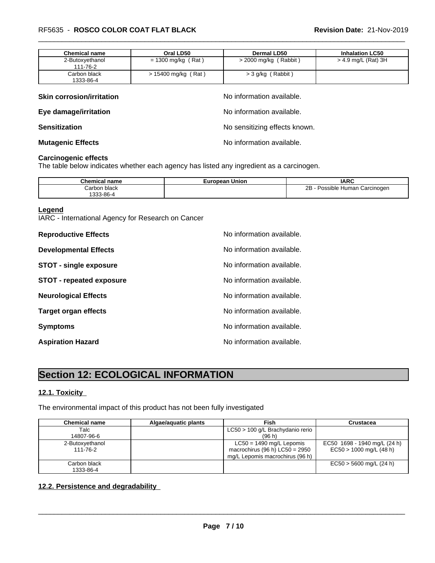| <b>Chemical name</b>      | Oral LD50             | <b>Dermal LD50</b>      | <b>Inhalation LC50</b> |
|---------------------------|-----------------------|-------------------------|------------------------|
| 2-Butoxyethanol           | = 1300 mg/kg (Rat)    | $>$ 2000 mg/kg (Rabbit) | $>$ 4.9 mg/L (Rat) 3H  |
| 111-76-2                  |                       |                         |                        |
| Carbon black<br>1333-86-4 | $> 15400$ mg/kg (Rat) | $>$ 3 g/kg (Rabbit)     |                        |

| <b>Skin corrosion/irritation</b> | No information available.     |
|----------------------------------|-------------------------------|
| Eye damage/irritation            | No information available.     |
| <b>Sensitization</b>             | No sensitizing effects known. |
| <b>Mutagenic Effects</b>         | No information available.     |

### **Carcinogenic effects**

The table below indicates whether each agency has listed any ingredient as a carcinogen.

| name<br>шса                         | pean Union<br>⊏ur | <b>IARC</b>                              |
|-------------------------------------|-------------------|------------------------------------------|
| Carbon black:                       |                   | . Carcinogen<br>sible :<br>Human<br>Poss |
| $\sim$ $\sim$<br>$\sim$<br>333-86-4 |                   |                                          |

#### **Legend**

IARC - International Agency for Research on Cancer

| <b>Reproductive Effects</b>     | No information available. |
|---------------------------------|---------------------------|
| <b>Developmental Effects</b>    | No information available. |
| <b>STOT - single exposure</b>   | No information available. |
| <b>STOT - repeated exposure</b> | No information available. |
| <b>Neurological Effects</b>     | No information available. |
| <b>Target organ effects</b>     | No information available. |
| <b>Symptoms</b>                 | No information available. |
| <b>Aspiration Hazard</b>        | No information available. |

## **Section 12: ECOLOGICAL INFORMATION**

### **12.1. Toxicity**

The environmental impact of this product has not been fully investigated

| <b>Chemical name</b>        | Algae/aguatic plants | Fish                                                                                              | Crustacea                                                 |
|-----------------------------|----------------------|---------------------------------------------------------------------------------------------------|-----------------------------------------------------------|
| Talc<br>14807-96-6          |                      | LC50 > 100 g/L Brachydanio rerio<br>(96 h)                                                        |                                                           |
| 2-Butoxyethanol<br>111-76-2 |                      | $LC50 = 1490$ mg/L Lepomis<br>macrochirus (96 h) $LC50 = 2950$<br>mg/L Lepomis macrochirus (96 h) | EC50 1698 - 1940 mg/L (24 h)<br>$EC50 > 1000$ mg/L (48 h) |
| Carbon black<br>1333-86-4   |                      |                                                                                                   | $EC50 > 5600$ mg/L (24 h)                                 |

#### **12.2. Persistence and degradability**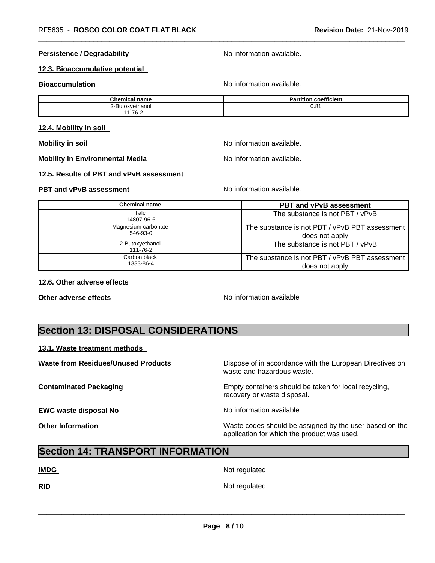#### **Persistence / Degradability** No information available.

#### **12.3. Bioaccumulative potential**

**Bioaccumulation Bioaccumulation No information available.** 

| <b>Chemical name</b>                        | coefficient<br><b>Partition</b> |
|---------------------------------------------|---------------------------------|
| $\overline{\phantom{a}}$<br>2-Butoxyethanol | ົດ<br>U.O                       |
| $1 - 76 - ?$<br>1 <i>A A</i>                |                                 |

#### **12.4. Mobility in soil**

**Mobility in soil Mobility in soil Mobility in soil Mo Mo information** available.

**Mobility in Environmental Media** Note 2016 No information available.

#### **12.5. Results of PBT and vPvB assessment**

#### **PBT and vPvB assessment No information available.** No information available.

**Chemical name PBT and vPvB assessment** Talc 14807-96-6 The substance is not PBT / vPvB Magnesium carbonate 546-93-0 The substance is not PBT / vPvB PBT assessment does not apply 2-Butoxyethanol 111-76-2 The substance is not PBT / vPvB Carbon black 1333-86-4 The substance is not PBT / vPvB PBT assessment does not apply

#### **12.6. Other adverse effects**

**Other adverse effects No information available No information available** 

## **Section 13: DISPOSAL CONSIDERATIONS**

#### **13.1. Waste treatment methods**

**EWC waste disposal No** Noinformation available

**Waste from Residues/Unused Products** Dispose of in accordance with the European Directives on waste and hazardous waste.

**Contaminated Packaging Empty containers should be taken for local recycling,** recovery or waste disposal.

 $\overline{\phantom{a}}$  ,  $\overline{\phantom{a}}$  ,  $\overline{\phantom{a}}$  ,  $\overline{\phantom{a}}$  ,  $\overline{\phantom{a}}$  ,  $\overline{\phantom{a}}$  ,  $\overline{\phantom{a}}$  ,  $\overline{\phantom{a}}$  ,  $\overline{\phantom{a}}$  ,  $\overline{\phantom{a}}$  ,  $\overline{\phantom{a}}$  ,  $\overline{\phantom{a}}$  ,  $\overline{\phantom{a}}$  ,  $\overline{\phantom{a}}$  ,  $\overline{\phantom{a}}$  ,  $\overline{\phantom{a}}$ 

**Other Information** Waste codes should be assigned by the user based on the application for which the product was used.

## **Section 14: TRANSPORT INFORMATION**

**IMDG** Not regulated

**RID** Not regulated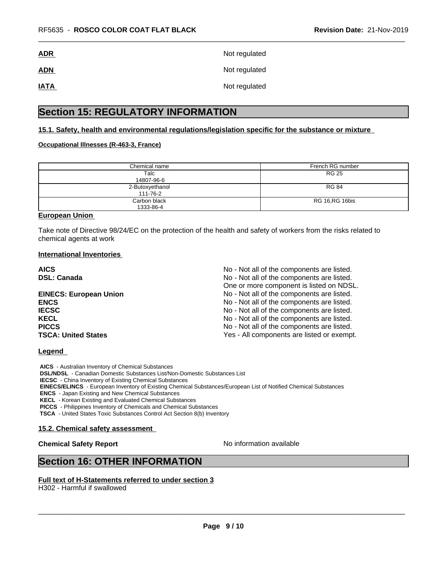| <b>ADR</b>  | Not regulated |
|-------------|---------------|
| <b>ADN</b>  | Not regulated |
| <b>IATA</b> | Not regulated |

## **Section 15: REGULATORY INFORMATION**

#### **15.1. Safety, health and environmental regulations/legislation specific for the substance or mixture**

#### **Occupational Illnesses (R-463-3, France)**

| Chemical name   | French RG number |
|-----------------|------------------|
| Talc            | <b>RG 25</b>     |
| 14807-96-6      |                  |
| 2-Butoxyethanol | <b>RG 84</b>     |
| 111-76-2        |                  |
| Carbon black    | RG 16, RG 16 bis |
| 1333-86-4       |                  |

#### **European Union**

Take note of Directive 98/24/EC on the protection of the health and safety of workers from the risks related to chemical agents at work

#### **International Inventories**

| <b>AICS</b>                   | No - Not all of the components are listed. |
|-------------------------------|--------------------------------------------|
| <b>DSL: Canada</b>            | No - Not all of the components are listed. |
|                               | One or more component is listed on NDSL.   |
| <b>EINECS: European Union</b> | No - Not all of the components are listed. |
| <b>ENCS</b>                   | No - Not all of the components are listed. |
| <b>IECSC</b>                  | No - Not all of the components are listed. |
| <b>KECL</b>                   | No - Not all of the components are listed. |
| <b>PICCS</b>                  | No - Not all of the components are listed. |
| <b>TSCA: United States</b>    | Yes - All components are listed or exempt. |

#### **Legend**

 **AICS** - Australian Inventory of Chemical Substances  **DSL/NDSL** - Canadian Domestic Substances List/Non-Domestic Substances List  **IECSC** - China Inventory of Existing Chemical Substances  **EINECS/ELINCS** - European Inventory of Existing Chemical Substances/European List of Notified Chemical Substances  **ENCS** - Japan Existing and New Chemical Substances  **KECL** - Korean Existing and Evaluated Chemical Substances  **PICCS** - Philippines Inventory of Chemicals and Chemical Substances

 **TSCA** - United States Toxic Substances Control Act Section 8(b) Inventory

#### **15.2. Chemical safety assessment**

### **Chemical Safety Report** No information available

 $\overline{\phantom{a}}$  ,  $\overline{\phantom{a}}$  ,  $\overline{\phantom{a}}$  ,  $\overline{\phantom{a}}$  ,  $\overline{\phantom{a}}$  ,  $\overline{\phantom{a}}$  ,  $\overline{\phantom{a}}$  ,  $\overline{\phantom{a}}$  ,  $\overline{\phantom{a}}$  ,  $\overline{\phantom{a}}$  ,  $\overline{\phantom{a}}$  ,  $\overline{\phantom{a}}$  ,  $\overline{\phantom{a}}$  ,  $\overline{\phantom{a}}$  ,  $\overline{\phantom{a}}$  ,  $\overline{\phantom{a}}$ 

## **Section 16: OTHER INFORMATION**

#### **Full text of H-Statements referred to under section 3**

H302 - Harmful if swallowed